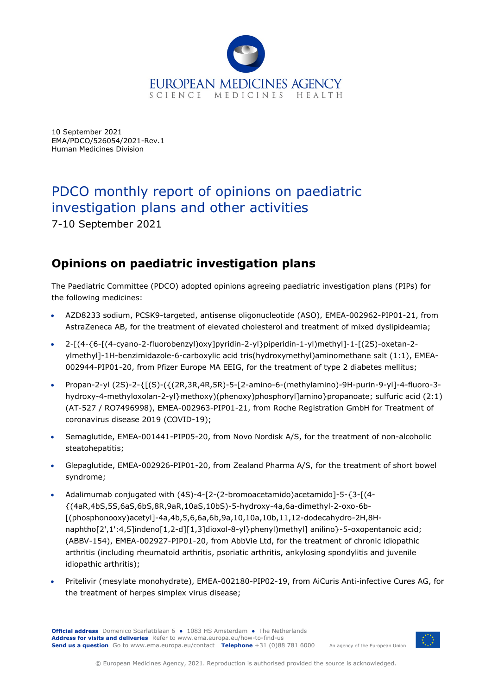

10 September 2021 EMA/PDCO/526054/2021-Rev.1 Human Medicines Division

# PDCO monthly report of opinions on paediatric investigation plans and other activities

7-10 September 2021

## **Opinions on paediatric investigation plans**

The Paediatric Committee (PDCO) adopted opinions agreeing paediatric investigation plans (PIPs) for the following medicines:

- AZD8233 sodium, PCSK9-targeted, antisense oligonucleotide (ASO), EMEA-002962-PIP01-21, from AstraZeneca AB, for the treatment of elevated cholesterol and treatment of mixed dyslipideamia;
- 2-[(4-{6-[(4-cyano-2-fluorobenzyl)oxy]pyridin-2-yl}piperidin-1-yl)methyl]-1-[(2S)-oxetan-2 ylmethyl]-1H-benzimidazole-6-carboxylic acid tris(hydroxymethyl)aminomethane salt (1:1), EMEA-002944-PIP01-20, from Pfizer Europe MA EEIG, for the treatment of type 2 diabetes mellitus;
- Propan-2-yl (2S)-2-{[(S)-({(2R,3R,4R,5R)-5-[2-amino-6-(methylamino)-9H-purin-9-yl]-4-fluoro-3 hydroxy-4-methyloxolan-2-yl}methoxy)(phenoxy)phosphoryl]amino}propanoate; sulfuric acid (2:1) (AT-527 / RO7496998), EMEA-002963-PIP01-21, from Roche Registration GmbH for Treatment of coronavirus disease 2019 (COVID-19);
- Semaglutide, EMEA-001441-PIP05-20, from Novo Nordisk A/S, for the treatment of non-alcoholic steatohepatitis;
- Glepaglutide, EMEA-002926-PIP01-20, from Zealand Pharma A/S, for the treatment of short bowel syndrome;
- Adalimumab conjugated with (4S)-4-[2-(2-bromoacetamido)acetamido]-5-{3-[(4- {(4aR,4bS,5S,6aS,6bS,8R,9aR,10aS,10bS)-5-hydroxy-4a,6a-dimethyl-2-oxo-6b- [(phosphonooxy)acetyl]-4a,4b,5,6,6a,6b,9a,10,10a,10b,11,12-dodecahydro-2H,8Hnaphtho[2',1':4,5]indeno[1,2-d][1,3]dioxol-8-yl}phenyl)methyl] anilino}-5-oxopentanoic acid; (ABBV-154), EMEA-002927-PIP01-20, from AbbVie Ltd, for the treatment of chronic idiopathic arthritis (including rheumatoid arthritis, psoriatic arthritis, ankylosing spondylitis and juvenile idiopathic arthritis);
- Pritelivir (mesylate monohydrate), EMEA-002180-PIP02-19, from AiCuris Anti-infective Cures AG, for the treatment of herpes simplex virus disease;

**Official address** Domenico Scarlattilaan 6 **●** 1083 HS Amsterdam **●** The Netherlands An agency of the European Union **Address for visits and deliveries** Refer to [www.ema.europa.eu/how-to-find-us](http://www.ema.europa.eu/how-to-find-us) **Send us a question** Go to [www.ema.europa.eu/contact](http://www.ema.europa.eu/contact) **Telephone** +31 (0)88 781 6000

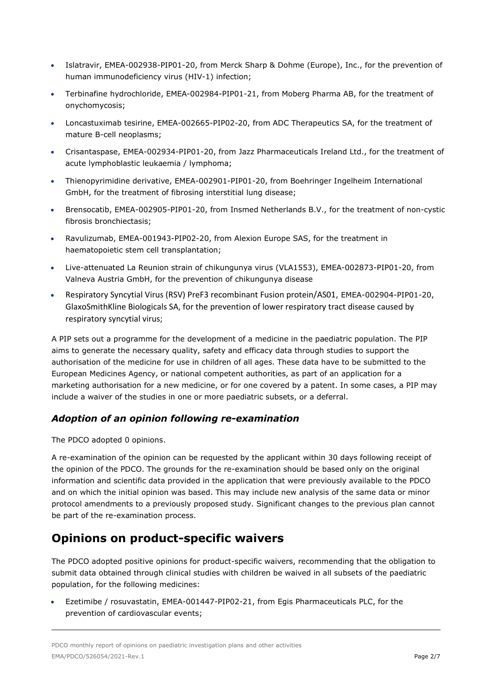- Islatravir, EMEA-002938-PIP01-20, from Merck Sharp & Dohme (Europe), Inc., for the prevention of human immunodeficiency virus (HIV-1) infection;
- Terbinafine hydrochloride, EMEA-002984-PIP01-21, from Moberg Pharma AB, for the treatment of onychomycosis;
- Loncastuximab tesirine, EMEA-002665-PIP02-20, from ADC Therapeutics SA, for the treatment of mature B-cell neoplasms;
- Crisantaspase, EMEA-002934-PIP01-20, from Jazz Pharmaceuticals Ireland Ltd., for the treatment of acute lymphoblastic leukaemia / lymphoma;
- Thienopyrimidine derivative, EMEA-002901-PIP01-20, from Boehringer Ingelheim International GmbH, for the treatment of fibrosing interstitial lung disease;
- Brensocatib, EMEA-002905-PIP01-20, from Insmed Netherlands B.V., for the treatment of non-cystic fibrosis bronchiectasis;
- Ravulizumab, EMEA-001943-PIP02-20, from Alexion Europe SAS, for the treatment in haematopoietic stem cell transplantation;
- Live-attenuated La Reunion strain of chikungunya virus (VLA1553), EMEA-002873-PIP01-20, from Valneva Austria GmbH, for the prevention of chikungunya disease
- Respiratory Syncytial Virus (RSV) PreF3 recombinant Fusion protein/AS01, EMEA-002904-PIP01-20, GlaxoSmithKline Biologicals SA, for the prevention of lower respiratory tract disease caused by respiratory syncytial virus;

A PIP sets out a programme for the development of a medicine in the paediatric population. The PIP aims to generate the necessary quality, safety and efficacy data through studies to support the authorisation of the medicine for use in children of all ages. These data have to be submitted to the European Medicines Agency, or national competent authorities, as part of an application for a marketing authorisation for a new medicine, or for one covered by a patent. In some cases, a PIP may include a waiver of the studies in one or more paediatric subsets, or a deferral.

#### *Adoption of an opinion following re-examination*

The PDCO adopted 0 opinions.

A re-examination of the opinion can be requested by the applicant within 30 days following receipt of the opinion of the PDCO. The grounds for the re-examination should be based only on the original information and scientific data provided in the application that were previously available to the PDCO and on which the initial opinion was based. This may include new analysis of the same data or minor protocol amendments to a previously proposed study. Significant changes to the previous plan cannot be part of the re-examination process.

#### **Opinions on product-specific waivers**

The PDCO adopted positive opinions for product-specific waivers, recommending that the obligation to submit data obtained through clinical studies with children be waived in all subsets of the paediatric population, for the following medicines:

• Ezetimibe / rosuvastatin, EMEA-001447-PIP02-21, from Egis Pharmaceuticals PLC, for the prevention of cardiovascular events;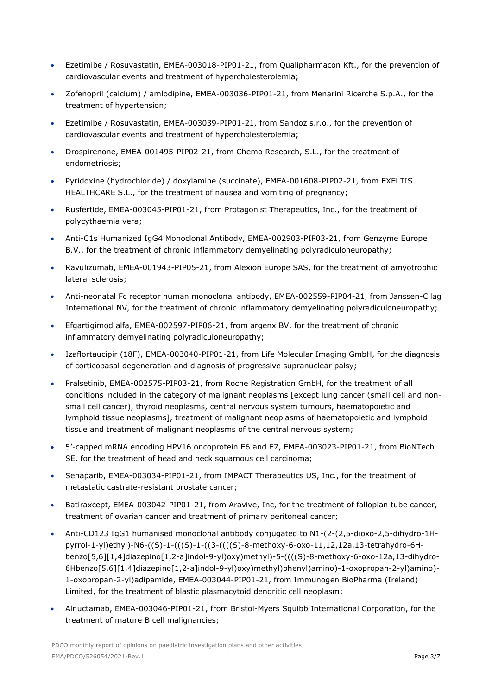- Ezetimibe / Rosuvastatin, EMEA-003018-PIP01-21, from Qualipharmacon Kft., for the prevention of cardiovascular events and treatment of hypercholesterolemia;
- Zofenopril (calcium) / amlodipine, EMEA-003036-PIP01-21, from Menarini Ricerche S.p.A., for the treatment of hypertension;
- Ezetimibe / Rosuvastatin, EMEA-003039-PIP01-21, from Sandoz s.r.o., for the prevention of cardiovascular events and treatment of hypercholesterolemia;
- Drospirenone, EMEA-001495-PIP02-21, from Chemo Research, S.L., for the treatment of endometriosis;
- Pyridoxine (hydrochloride) / doxylamine (succinate), EMEA-001608-PIP02-21, from EXELTIS HEALTHCARE S.L., for the treatment of nausea and vomiting of pregnancy;
- Rusfertide, EMEA-003045-PIP01-21, from Protagonist Therapeutics, Inc., for the treatment of polycythaemia vera;
- Anti-C1s Humanized IgG4 Monoclonal Antibody, EMEA-002903-PIP03-21, from Genzyme Europe B.V., for the treatment of chronic inflammatory demyelinating polyradiculoneuropathy;
- Ravulizumab, EMEA-001943-PIP05-21, from Alexion Europe SAS, for the treatment of amyotrophic lateral sclerosis;
- Anti-neonatal Fc receptor human monoclonal antibody, EMEA-002559-PIP04-21, from Janssen-Cilag International NV, for the treatment of chronic inflammatory demyelinating polyradiculoneuropathy;
- Efgartigimod alfa, EMEA-002597-PIP06-21, from argenx BV, for the treatment of chronic inflammatory demyelinating polyradiculoneuropathy;
- Izaflortaucipir (18F), EMEA-003040-PIP01-21, from Life Molecular Imaging GmbH, for the diagnosis of corticobasal degeneration and diagnosis of progressive supranuclear palsy;
- Pralsetinib, EMEA-002575-PIP03-21, from Roche Registration GmbH, for the treatment of all conditions included in the category of malignant neoplasms [except lung cancer (small cell and nonsmall cell cancer), thyroid neoplasms, central nervous system tumours, haematopoietic and lymphoid tissue neoplasms], treatment of malignant neoplasms of haematopoietic and lymphoid tissue and treatment of malignant neoplasms of the central nervous system;
- 5'-capped mRNA encoding HPV16 oncoprotein E6 and E7, EMEA-003023-PIP01-21, from BioNTech SE, for the treatment of head and neck squamous cell carcinoma;
- Senaparib, EMEA-003034-PIP01-21, from IMPACT Therapeutics US, Inc., for the treatment of metastatic castrate-resistant prostate cancer;
- Batiraxcept, EMEA-003042-PIP01-21, from Aravive, Inc, for the treatment of fallopian tube cancer, treatment of ovarian cancer and treatment of primary peritoneal cancer;
- Anti-CD123 IgG1 humanised monoclonal antibody conjugated to N1-(2-(2,5-dioxo-2,5-dihydro-1Hpyrrol-1-yl)ethyl)-N6-((S)-1-(((S)-1-((3-((((S)-8-methoxy-6-oxo-11,12,12a,13-tetrahydro-6Hbenzo[5,6][1,4]diazepino[1,2-a]indol-9-yl)oxy)methyl)-5-((((S)-8-methoxy-6-oxo-12a,13-dihydro-6Hbenzo[5,6][1,4]diazepino[1,2-a]indol-9-yl)oxy)methyl)phenyl)amino)-1-oxopropan-2-yl)amino)- 1-oxopropan-2-yl)adipamide, EMEA-003044-PIP01-21, from Immunogen BioPharma (Ireland) Limited, for the treatment of blastic plasmacytoid dendritic cell neoplasm;
- Alnuctamab, EMEA-003046-PIP01-21, from Bristol-Myers Squibb International Corporation, for the treatment of mature B cell malignancies;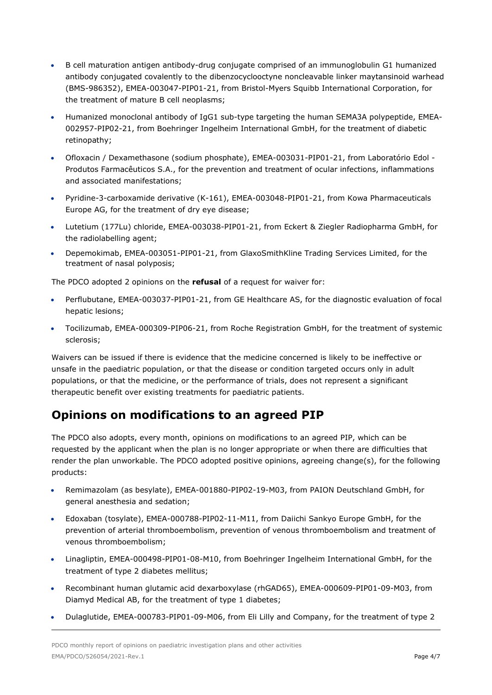- B cell maturation antigen antibody-drug conjugate comprised of an immunoglobulin G1 humanized antibody conjugated covalently to the dibenzocyclooctyne noncleavable linker maytansinoid warhead (BMS-986352), EMEA-003047-PIP01-21, from Bristol-Myers Squibb International Corporation, for the treatment of mature B cell neoplasms;
- Humanized monoclonal antibody of IgG1 sub-type targeting the human SEMA3A polypeptide, EMEA-002957-PIP02-21, from Boehringer Ingelheim International GmbH, for the treatment of diabetic retinopathy;
- Ofloxacin / Dexamethasone (sodium phosphate), EMEA-003031-PIP01-21, from Laboratório Edol Produtos Farmacêuticos S.A., for the prevention and treatment of ocular infections, inflammations and associated manifestations;
- Pyridine-3-carboxamide derivative (K-161), EMEA-003048-PIP01-21, from Kowa Pharmaceuticals Europe AG, for the treatment of dry eye disease;
- Lutetium (177Lu) chloride, EMEA-003038-PIP01-21, from Eckert & Ziegler Radiopharma GmbH, for the radiolabelling agent;
- Depemokimab, EMEA-003051-PIP01-21, from GlaxoSmithKline Trading Services Limited, for the treatment of nasal polyposis;

The PDCO adopted 2 opinions on the **refusal** of a request for waiver for:

- Perflubutane, EMEA-003037-PIP01-21, from GE Healthcare AS, for the diagnostic evaluation of focal hepatic lesions;
- Tocilizumab, EMEA-000309-PIP06-21, from Roche Registration GmbH, for the treatment of systemic sclerosis;

Waivers can be issued if there is evidence that the medicine concerned is likely to be ineffective or unsafe in the paediatric population, or that the disease or condition targeted occurs only in adult populations, or that the medicine, or the performance of trials, does not represent a significant therapeutic benefit over existing treatments for paediatric patients.

#### **Opinions on modifications to an agreed PIP**

The PDCO also adopts, every month, opinions on modifications to an agreed PIP, which can be requested by the applicant when the plan is no longer appropriate or when there are difficulties that render the plan unworkable. The PDCO adopted positive opinions, agreeing change(s), for the following products:

- Remimazolam (as besylate), EMEA-001880-PIP02-19-M03, from PAION Deutschland GmbH, for general anesthesia and sedation;
- Edoxaban (tosylate), EMEA-000788-PIP02-11-M11, from Daiichi Sankyo Europe GmbH, for the prevention of arterial thromboembolism, prevention of venous thromboembolism and treatment of venous thromboembolism;
- Linagliptin, EMEA-000498-PIP01-08-M10, from Boehringer Ingelheim International GmbH, for the treatment of type 2 diabetes mellitus;
- Recombinant human glutamic acid dexarboxylase (rhGAD65), EMEA-000609-PIP01-09-M03, from Diamyd Medical AB, for the treatment of type 1 diabetes;
- Dulaglutide, EMEA-000783-PIP01-09-M06, from Eli Lilly and Company, for the treatment of type 2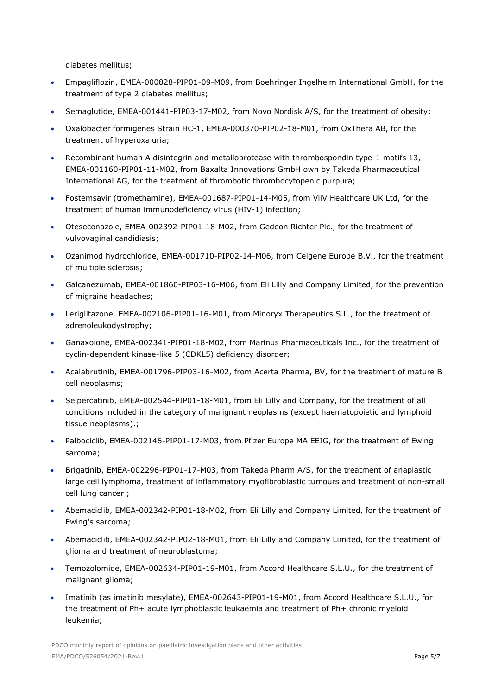diabetes mellitus;

- Empagliflozin, EMEA-000828-PIP01-09-M09, from Boehringer Ingelheim International GmbH, for the treatment of type 2 diabetes mellitus;
- Semaglutide, EMEA-001441-PIP03-17-M02, from Novo Nordisk A/S, for the treatment of obesity;
- Oxalobacter formigenes Strain HC-1, EMEA-000370-PIP02-18-M01, from OxThera AB, for the treatment of hyperoxaluria;
- Recombinant human A disintegrin and metalloprotease with thrombospondin type-1 motifs 13, EMEA-001160-PIP01-11-M02, from Baxalta Innovations GmbH own by Takeda Pharmaceutical International AG, for the treatment of thrombotic thrombocytopenic purpura;
- Fostemsavir (tromethamine), EMEA-001687-PIP01-14-M05, from ViiV Healthcare UK Ltd, for the treatment of human immunodeficiency virus (HIV-1) infection;
- Oteseconazole, EMEA-002392-PIP01-18-M02, from Gedeon Richter Plc., for the treatment of vulvovaginal candidiasis;
- Ozanimod hydrochloride, EMEA-001710-PIP02-14-M06, from Celgene Europe B.V., for the treatment of multiple sclerosis;
- Galcanezumab, EMEA-001860-PIP03-16-M06, from Eli Lilly and Company Limited, for the prevention of migraine headaches;
- Leriglitazone, EMEA-002106-PIP01-16-M01, from Minoryx Therapeutics S.L., for the treatment of adrenoleukodystrophy;
- Ganaxolone, EMEA-002341-PIP01-18-M02, from Marinus Pharmaceuticals Inc., for the treatment of cyclin-dependent kinase-like 5 (CDKL5) deficiency disorder;
- Acalabrutinib, EMEA-001796-PIP03-16-M02, from Acerta Pharma, BV, for the treatment of mature B cell neoplasms;
- Selpercatinib, EMEA-002544-PIP01-18-M01, from Eli Lilly and Company, for the treatment of all conditions included in the category of malignant neoplasms (except haematopoietic and lymphoid tissue neoplasms).;
- Palbociclib, EMEA-002146-PIP01-17-M03, from Pfizer Europe MA EEIG, for the treatment of Ewing sarcoma;
- Brigatinib, EMEA-002296-PIP01-17-M03, from Takeda Pharm A/S, for the treatment of anaplastic large cell lymphoma, treatment of inflammatory myofibroblastic tumours and treatment of non-small cell lung cancer ;
- Abemaciclib, EMEA-002342-PIP01-18-M02, from Eli Lilly and Company Limited, for the treatment of Ewing's sarcoma;
- Abemaciclib, EMEA-002342-PIP02-18-M01, from Eli Lilly and Company Limited, for the treatment of glioma and treatment of neuroblastoma;
- Temozolomide, EMEA-002634-PIP01-19-M01, from Accord Healthcare S.L.U., for the treatment of malignant glioma;
- Imatinib (as imatinib mesylate), EMEA-002643-PIP01-19-M01, from Accord Healthcare S.L.U., for the treatment of Ph+ acute lymphoblastic leukaemia and treatment of Ph+ chronic myeloid leukemia;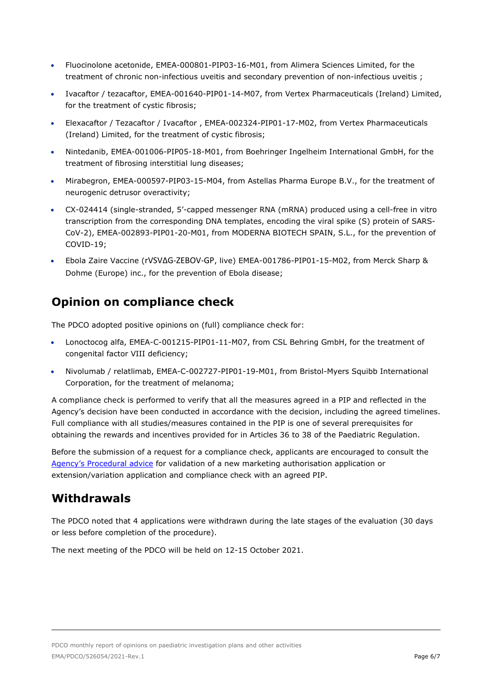- Fluocinolone acetonide, EMEA-000801-PIP03-16-M01, from Alimera Sciences Limited, for the treatment of chronic non-infectious uveitis and secondary prevention of non-infectious uveitis ;
- Ivacaftor / tezacaftor, EMEA-001640-PIP01-14-M07, from Vertex Pharmaceuticals (Ireland) Limited, for the treatment of cystic fibrosis;
- Elexacaftor / Tezacaftor / Ivacaftor , EMEA-002324-PIP01-17-M02, from Vertex Pharmaceuticals (Ireland) Limited, for the treatment of cystic fibrosis;
- Nintedanib, EMEA-001006-PIP05-18-M01, from Boehringer Ingelheim International GmbH, for the treatment of fibrosing interstitial lung diseases;
- Mirabegron, EMEA-000597-PIP03-15-M04, from Astellas Pharma Europe B.V., for the treatment of neurogenic detrusor overactivity;
- CX-024414 (single-stranded, 5'-capped messenger RNA (mRNA) produced using a cell-free in vitro transcription from the corresponding DNA templates, encoding the viral spike (S) protein of SARS-CoV-2), EMEA-002893-PIP01-20-M01, from MODERNA BIOTECH SPAIN, S.L., for the prevention of COVID-19;
- Ebola Zaire Vaccine (rVSVΔG-ZEBOV-GP, live) EMEA-001786-PIP01-15-M02, from Merck Sharp & Dohme (Europe) inc., for the prevention of Ebola disease;

### **Opinion on compliance check**

The PDCO adopted positive opinions on (full) compliance check for:

- Lonoctocog alfa, EMEA-C-001215-PIP01-11-M07, from CSL Behring GmbH, for the treatment of congenital factor VIII deficiency;
- Nivolumab / relatlimab, EMEA-C-002727-PIP01-19-M01, from Bristol-Myers Squibb International Corporation, for the treatment of melanoma;

A compliance check is performed to verify that all the measures agreed in a PIP and reflected in the Agency's decision have been conducted in accordance with the decision, including the agreed timelines. Full compliance with all studies/measures contained in the PIP is one of several prerequisites for obtaining the rewards and incentives provided for in Articles 36 to 38 of the Paediatric Regulation.

Before the submission of a request for a compliance check, applicants are encouraged to consult the [Agency's Procedural](http://www.emea.europa.eu/pdfs/human/paediatrics/55363107en.pdf) advice for validation of a new marketing authorisation application or extension/variation application and compliance check with an agreed PIP.

#### **Withdrawals**

The PDCO noted that 4 applications were withdrawn during the late stages of the evaluation (30 days or less before completion of the procedure).

The next meeting of the PDCO will be held on 12-15 October 2021.